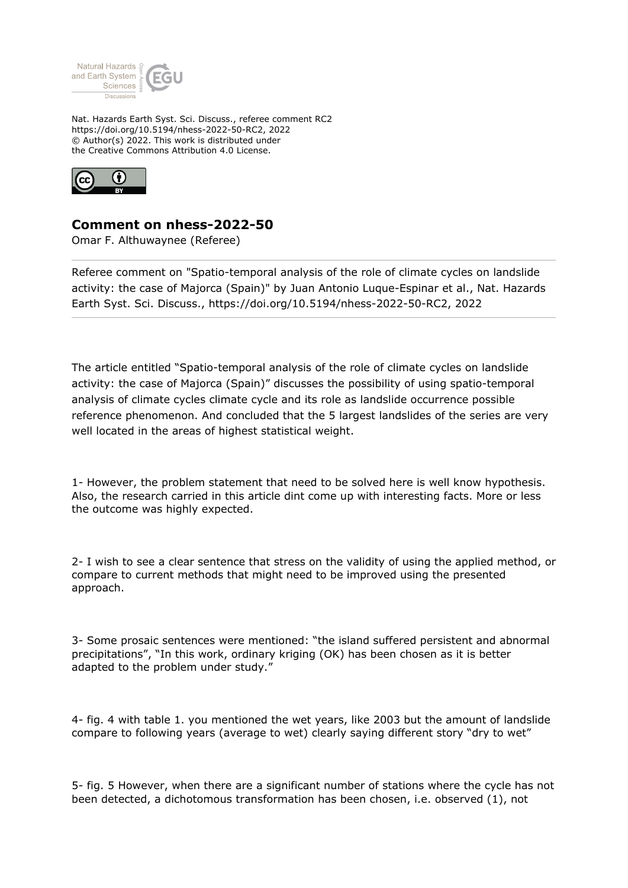

Nat. Hazards Earth Syst. Sci. Discuss., referee comment RC2 https://doi.org/10.5194/nhess-2022-50-RC2, 2022 © Author(s) 2022. This work is distributed under the Creative Commons Attribution 4.0 License.



## **Comment on nhess-2022-50**

Omar F. Althuwaynee (Referee)

Referee comment on "Spatio-temporal analysis of the role of climate cycles on landslide activity: the case of Majorca (Spain)" by Juan Antonio Luque-Espinar et al., Nat. Hazards Earth Syst. Sci. Discuss., https://doi.org/10.5194/nhess-2022-50-RC2, 2022

The article entitled "Spatio-temporal analysis of the role of climate cycles on landslide activity: the case of Majorca (Spain)" discusses the possibility of using spatio-temporal analysis of climate cycles climate cycle and its role as landslide occurrence possible reference phenomenon. And concluded that the 5 largest landslides of the series are very well located in the areas of highest statistical weight.

1- However, the problem statement that need to be solved here is well know hypothesis. Also, the research carried in this article dint come up with interesting facts. More or less the outcome was highly expected.

2- I wish to see a clear sentence that stress on the validity of using the applied method, or compare to current methods that might need to be improved using the presented approach.

3- Some prosaic sentences were mentioned: "the island suffered persistent and abnormal precipitations", "In this work, ordinary kriging (OK) has been chosen as it is better adapted to the problem under study."

4- fig. 4 with table 1. you mentioned the wet years, like 2003 but the amount of landslide compare to following years (average to wet) clearly saying different story "dry to wet"

5- fig. 5 However, when there are a significant number of stations where the cycle has not been detected, a dichotomous transformation has been chosen, i.e. observed (1), not